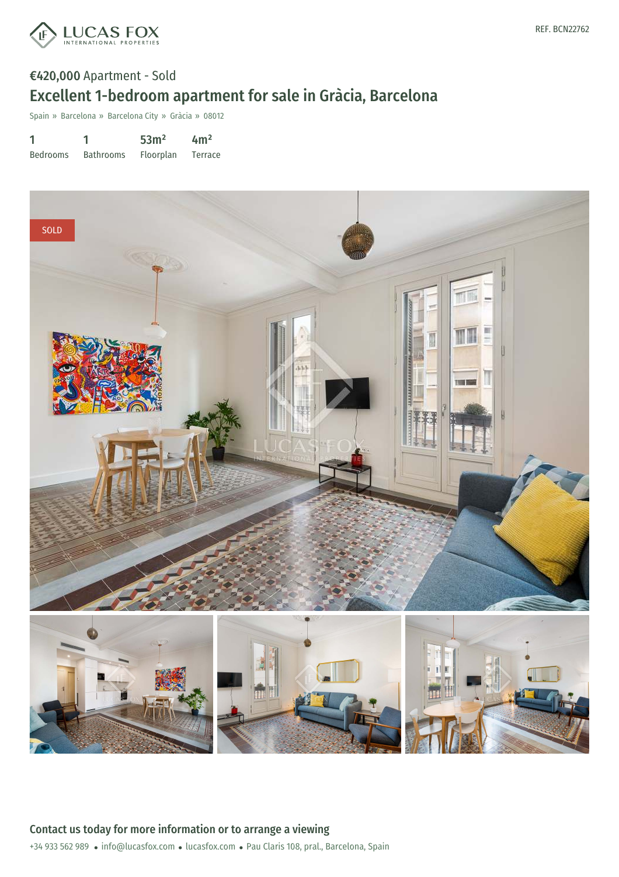

## €420,000 Apartment - Sold Excellent 1-bedroom apartment for sale in Gràcia, Barcelona

Spain » Barcelona » Barcelona City » Gràcia » 08012

1 Bedrooms 1 Bathrooms 53m² Floorplan  $4m<sup>2</sup>$ Terrace

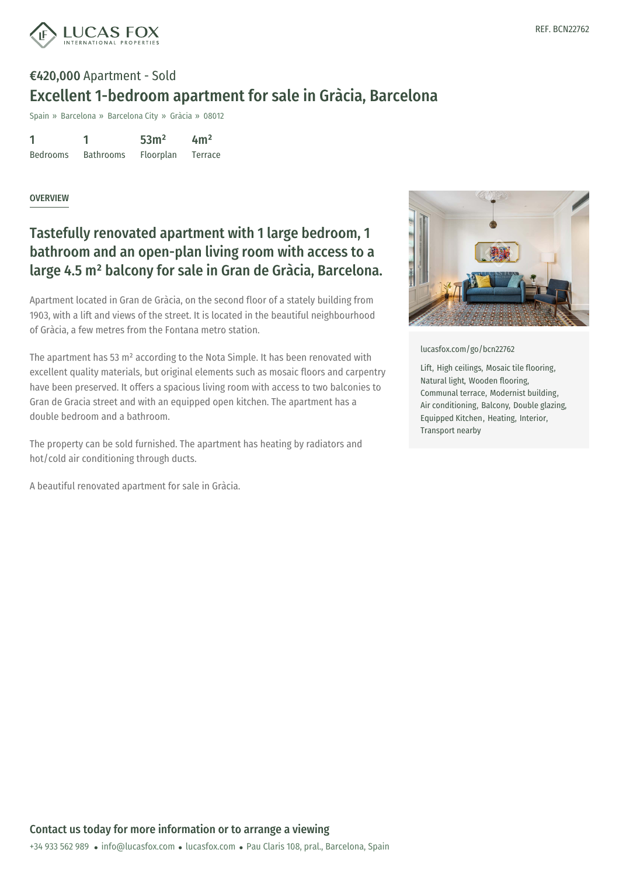

# €420,000 Apartment - Sold Excellent 1-bedroom apartment for sale in Gràcia, Barcelona

Spain » Barcelona » Barcelona City » Gràcia » 08012

1 Bedrooms 1 Bathrooms 53m² Floorplan  $4m<sup>2</sup>$ Terrace

#### **OVERVIEW**

### Tastefully renovated apartment with 1 large bedroom, 1 bathroom and an open-plan living room with access to a large 4.5 m² balcony for sale in Gran de Gràcia, Barcelona.

Apartment located in Gran de Gràcia, on the second floor of a stately building from 1903, with a lift and views of the street. It is located in the beautiful neighbourhood of Gràcia, a few metres from the Fontana metro station.

The apartment has 53 m² according to the Nota Simple. It has been renovated with excellent quality materials, but original elements such as mosaic floors and carpentry have been preserved. It offers a spacious living room with access to two balconies to Gran de Gracia street and with an equipped open kitchen. The apartment has a double bedroom and a bathroom.

The property can be sold furnished. The apartment has heating by radiators and hot/cold air conditioning through ducts.

A beautiful renovated apartment for sale in Gràcia.



[lucasfox.com/go/bcn22762](https://www.lucasfox.com/go/bcn22762)

Lift, High ceilings, Mosaic tile flooring, Natural light, Wooden flooring, Communal terrace, Modernist building, Air conditioning, Balcony, Double glazing, Equipped Kitchen, Heating, Interior, Transport nearby